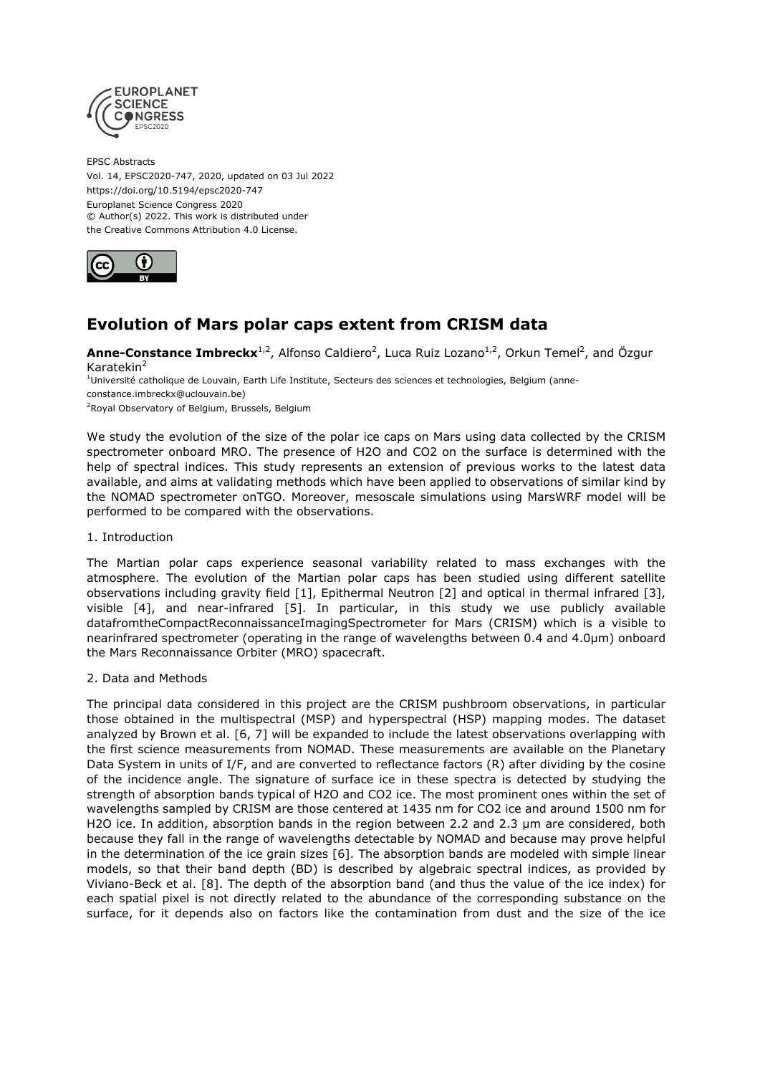

EPSC Abstracts Vol. 14, EPSC2020-747, 2020, updated on 03 Jul 2022 https://doi.org/10.5194/epsc2020-747 Europlanet Science Congress 2020 © Author(s) 2022. This work is distributed under the Creative Commons Attribution 4.0 License.



# **Evolution of Mars polar caps extent from CRISM data**

**Anne-Constance Imbreckx**<sup>1,2</sup>, Alfonso Caldiero<sup>2</sup>, Luca Ruiz Lozano<sup>1,2</sup>, Orkun Temel<sup>2</sup>, and Özgur Karatekin<sup>2</sup>

<sup>1</sup>Université catholique de Louvain, Earth Life Institute, Secteurs des sciences et technologies, Belgium (anneconstance.imbreckx@uclouvain.be)

<sup>2</sup>Royal Observatory of Belgium, Brussels, Belgium

We study the evolution of the size of the polar ice caps on Mars using data collected by the CRISM spectrometer onboard MRO. The presence of H2O and CO2 on the surface is determined with the help of spectral indices. This study represents an extension of previous works to the latest data available, and aims at validating methods which have been applied to observations of similar kind by the NOMAD spectrometer onTGO. Moreover, mesoscale simulations using MarsWRF model will be performed to be compared with the observations.

# 1. Introduction

The Martian polar caps experience seasonal variability related to mass exchanges with the atmosphere. The evolution of the Martian polar caps has been studied using different satellite observations including gravity field [1], Epithermal Neutron [2] and optical in thermal infrared [3], visible [4], and near-infrared [5]. In particular, in this study we use publicly available datafromtheCompactReconnaissanceImagingSpectrometer for Mars (CRISM) which is a visible to nearinfrared spectrometer (operating in the range of wavelengths between 0.4 and 4.0µm) onboard the Mars Reconnaissance Orbiter (MRO) spacecraft.

# 2. Data and Methods

The principal data considered in this project are the CRISM pushbroom observations, in particular those obtained in the multispectral (MSP) and hyperspectral (HSP) mapping modes. The dataset analyzed by Brown et al. [6, 7] will be expanded to include the latest observations overlapping with the first science measurements from NOMAD. These measurements are available on the Planetary Data System in units of I/F, and are converted to reflectance factors (R) after dividing by the cosine of the incidence angle. The signature of surface ice in these spectra is detected by studying the strength of absorption bands typical of H2O and CO2 ice. The most prominent ones within the set of wavelengths sampled by CRISM are those centered at 1435 nm for CO2 ice and around 1500 nm for H2O ice. In addition, absorption bands in the region between 2.2 and 2.3 um are considered, both because they fall in the range of wavelengths detectable by NOMAD and because may prove helpful in the determination of the ice grain sizes [6]. The absorption bands are modeled with simple linear models, so that their band depth (BD) is described by algebraic spectral indices, as provided by Viviano-Beck et al. [8]. The depth of the absorption band (and thus the value of the ice index) for each spatial pixel is not directly related to the abundance of the corresponding substance on the surface, for it depends also on factors like the contamination from dust and the size of the ice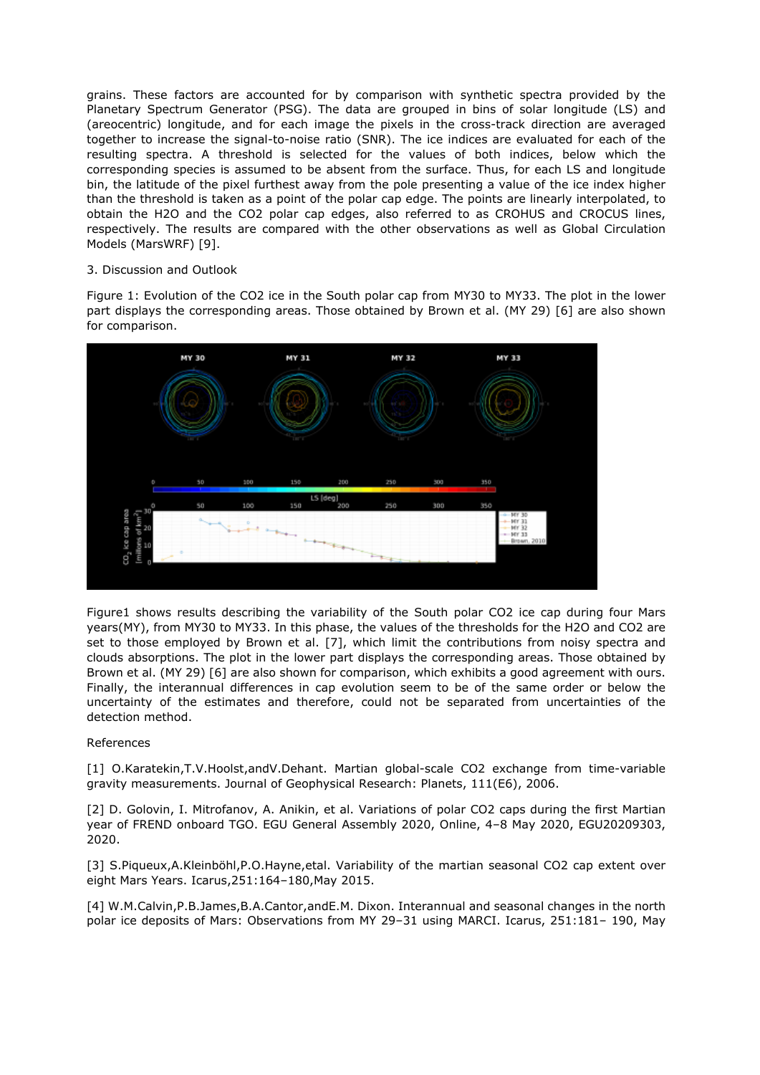grains. These factors are accounted for by comparison with synthetic spectra provided by the Planetary Spectrum Generator (PSG). The data are grouped in bins of solar longitude (LS) and (areocentric) longitude, and for each image the pixels in the cross-track direction are averaged together to increase the signal-to-noise ratio (SNR). The ice indices are evaluated for each of the resulting spectra. A threshold is selected for the values of both indices, below which the corresponding species is assumed to be absent from the surface. Thus, for each LS and longitude bin, the latitude of the pixel furthest away from the pole presenting a value of the ice index higher than the threshold is taken as a point of the polar cap edge. The points are linearly interpolated, to obtain the H2O and the CO2 polar cap edges, also referred to as CROHUS and CROCUS lines, respectively. The results are compared with the other observations as well as Global Circulation Models (MarsWRF) [9].

# 3. Discussion and Outlook

Figure 1: Evolution of the CO2 ice in the South polar cap from MY30 to MY33. The plot in the lower part displays the corresponding areas. Those obtained by Brown et al. (MY 29) [6] are also shown for comparison.



Figure1 shows results describing the variability of the South polar CO2 ice cap during four Mars years(MY), from MY30 to MY33. In this phase, the values of the thresholds for the H2O and CO2 are set to those employed by Brown et al. [7], which limit the contributions from noisy spectra and clouds absorptions. The plot in the lower part displays the corresponding areas. Those obtained by Brown et al. (MY 29) [6] are also shown for comparison, which exhibits a good agreement with ours. Finally, the interannual differences in cap evolution seem to be of the same order or below the uncertainty of the estimates and therefore, could not be separated from uncertainties of the detection method.

# References

[1] O.Karatekin,T.V.Hoolst,andV.Dehant. Martian global-scale CO2 exchange from time-variable gravity measurements. Journal of Geophysical Research: Planets, 111(E6), 2006.

[2] D. Golovin, I. Mitrofanov, A. Anikin, et al. Variations of polar CO2 caps during the first Martian year of FREND onboard TGO. EGU General Assembly 2020, Online, 4–8 May 2020, EGU20209303, 2020.

[3] S.Piqueux,A.Kleinböhl,P.O.Hayne,etal. Variability of the martian seasonal CO2 cap extent over eight Mars Years. Icarus,251:164–180,May 2015.

[4] W.M.Calvin,P.B.James,B.A.Cantor,andE.M. Dixon. Interannual and seasonal changes in the north polar ice deposits of Mars: Observations from MY 29–31 using MARCI. Icarus, 251:181– 190, May